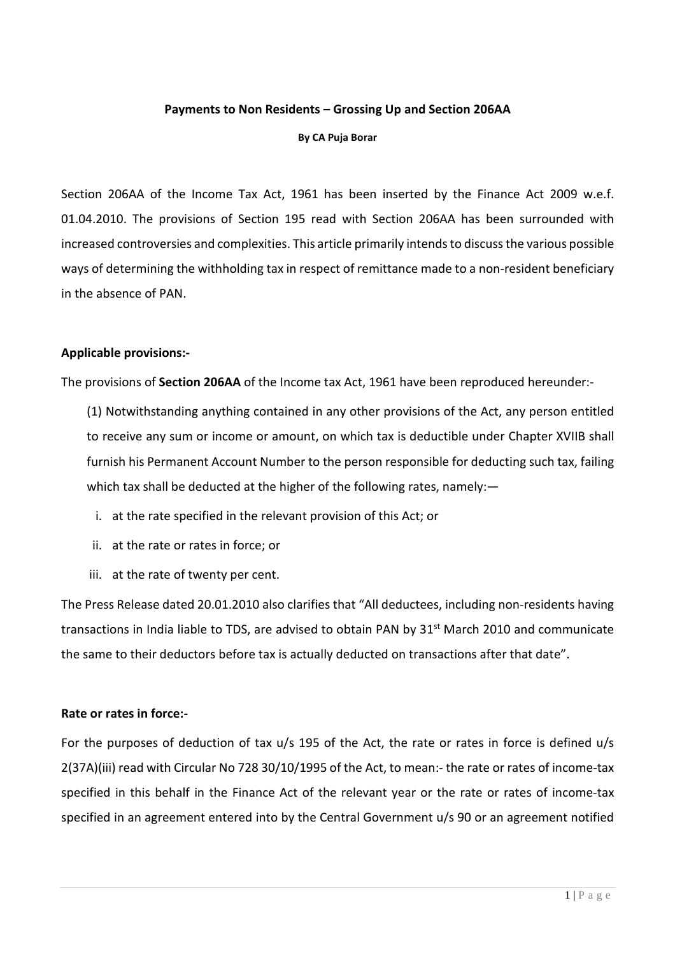## **Payments to Non Residents – Grossing Up and Section 206AA**

#### **By CA Puja Borar**

Section 206AA of the Income Tax Act, 1961 has been inserted by the Finance Act 2009 w.e.f. 01.04.2010. The provisions of Section 195 read with Section 206AA has been surrounded with increased controversies and complexities. This article primarily intends to discuss the various possible ways of determining the withholding tax in respect of remittance made to a non-resident beneficiary in the absence of PAN.

### **Applicable provisions:-**

The provisions of **Section 206AA** of the Income tax Act, 1961 have been reproduced hereunder:-

(1) Notwithstanding anything contained in any other provisions of the Act, any person entitled to receive any sum or income or amount, on which tax is deductible under Chapter XVIIB shall furnish his Permanent Account Number to the person responsible for deducting such tax, failing which tax shall be deducted at the higher of the following rates, namely:—

- i. at the rate specified in the relevant provision of this Act; or
- ii. at the rate or rates in force; or
- iii. at the rate of twenty per cent.

The Press Release dated 20.01.2010 also clarifies that "All deductees, including non-residents having transactions in India liable to TDS, are advised to obtain PAN by 31<sup>st</sup> March 2010 and communicate the same to their deductors before tax is actually deducted on transactions after that date".

## **Rate or rates in force:-**

For the purposes of deduction of tax u/s 195 of the Act, the rate or rates in force is defined u/s 2(37A)(iii) read with Circular No 728 30/10/1995 of the Act, to mean:- the rate or rates of income-tax specified in this behalf in the Finance Act of the relevant year or the rate or rates of income-tax specified in an agreement entered into by the Central Government u/s 90 or an agreement notified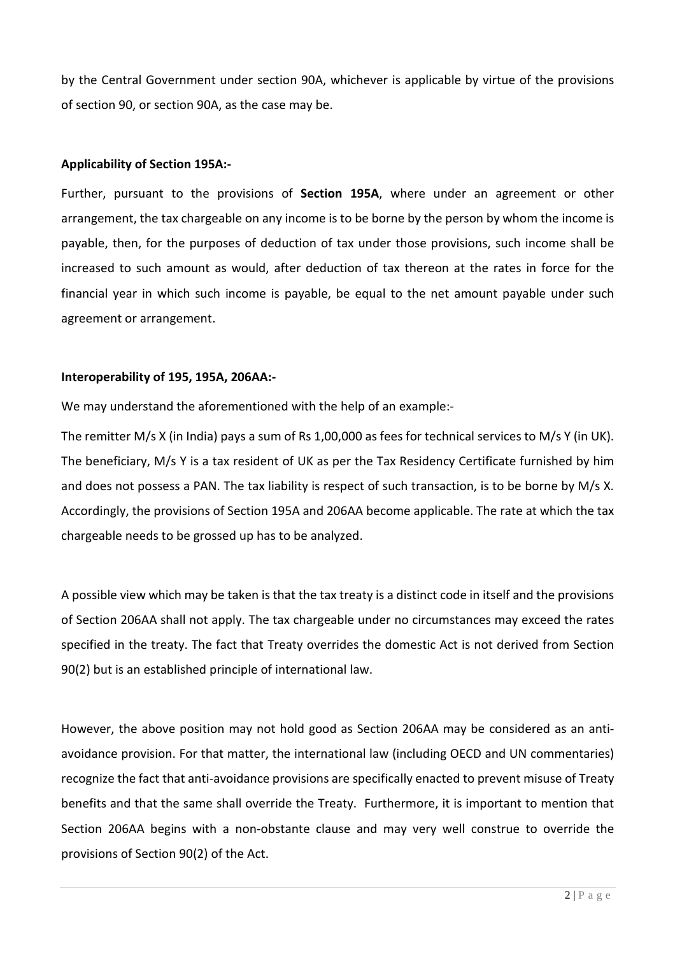by the Central Government under section 90A, whichever is applicable by virtue of the provisions of section 90, or section 90A, as the case may be.

### **Applicability of Section 195A:-**

Further, pursuant to the provisions of **Section 195A**, where under an agreement or other arrangement, the tax chargeable on any income is to be borne by the person by whom the income is payable, then, for the purposes of deduction of tax under those provisions, such income shall be increased to such amount as would, after deduction of tax thereon at the rates in force for the financial year in which such income is payable, be equal to the net amount payable under such agreement or arrangement.

### **Interoperability of 195, 195A, 206AA:-**

We may understand the aforementioned with the help of an example:-

The remitter M/s X (in India) pays a sum of Rs 1,00,000 as fees for technical services to M/s Y (in UK). The beneficiary, M/s Y is a tax resident of UK as per the Tax Residency Certificate furnished by him and does not possess a PAN. The tax liability is respect of such transaction, is to be borne by M/s X. Accordingly, the provisions of Section 195A and 206AA become applicable. The rate at which the tax chargeable needs to be grossed up has to be analyzed.

A possible view which may be taken is that the tax treaty is a distinct code in itself and the provisions of Section 206AA shall not apply. The tax chargeable under no circumstances may exceed the rates specified in the treaty. The fact that Treaty overrides the domestic Act is not derived from Section 90(2) but is an established principle of international law.

However, the above position may not hold good as Section 206AA may be considered as an antiavoidance provision. For that matter, the international law (including OECD and UN commentaries) recognize the fact that anti-avoidance provisions are specifically enacted to prevent misuse of Treaty benefits and that the same shall override the Treaty. Furthermore, it is important to mention that Section 206AA begins with a non-obstante clause and may very well construe to override the provisions of Section 90(2) of the Act.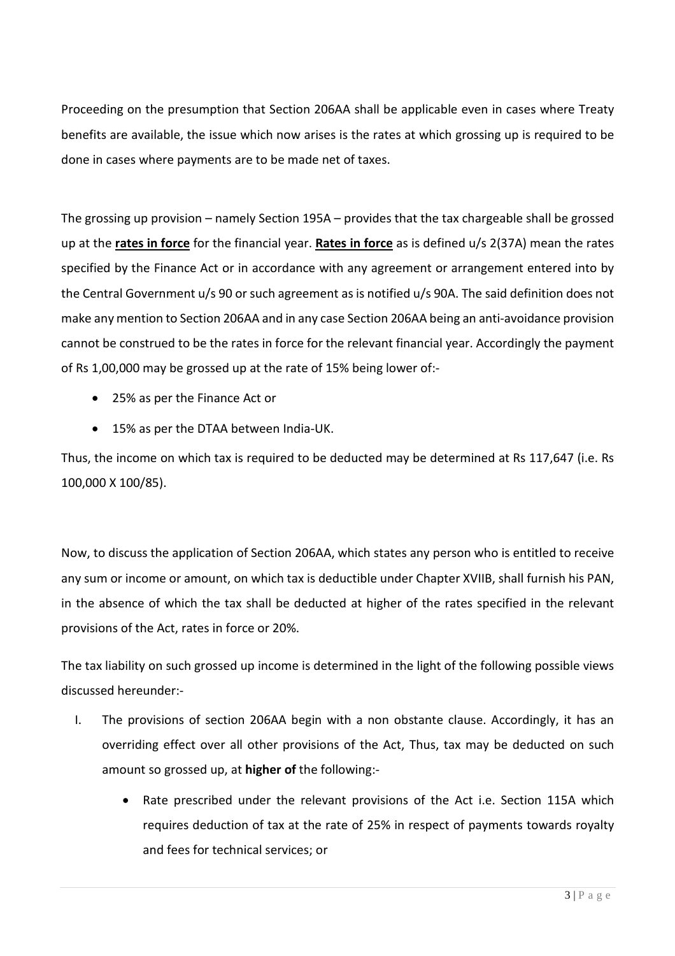Proceeding on the presumption that Section 206AA shall be applicable even in cases where Treaty benefits are available, the issue which now arises is the rates at which grossing up is required to be done in cases where payments are to be made net of taxes.

The grossing up provision – namely Section 195A – provides that the tax chargeable shall be grossed up at the **rates in force** for the financial year. **Rates in force** as is defined u/s 2(37A) mean the rates specified by the Finance Act or in accordance with any agreement or arrangement entered into by the Central Government u/s 90 or such agreement as is notified u/s 90A. The said definition does not make any mention to Section 206AA and in any case Section 206AA being an anti-avoidance provision cannot be construed to be the rates in force for the relevant financial year. Accordingly the payment of Rs 1,00,000 may be grossed up at the rate of 15% being lower of:-

- 25% as per the Finance Act or
- 15% as per the DTAA between India-UK.

Thus, the income on which tax is required to be deducted may be determined at Rs 117,647 (i.e. Rs 100,000 X 100/85).

Now, to discuss the application of Section 206AA, which states any person who is entitled to receive any sum or income or amount, on which tax is deductible under Chapter XVIIB, shall furnish his PAN, in the absence of which the tax shall be deducted at higher of the rates specified in the relevant provisions of the Act, rates in force or 20%.

The tax liability on such grossed up income is determined in the light of the following possible views discussed hereunder:-

- I. The provisions of section 206AA begin with a non obstante clause. Accordingly, it has an overriding effect over all other provisions of the Act, Thus, tax may be deducted on such amount so grossed up, at **higher of** the following:-
	- Rate prescribed under the relevant provisions of the Act i.e. Section 115A which requires deduction of tax at the rate of 25% in respect of payments towards royalty and fees for technical services; or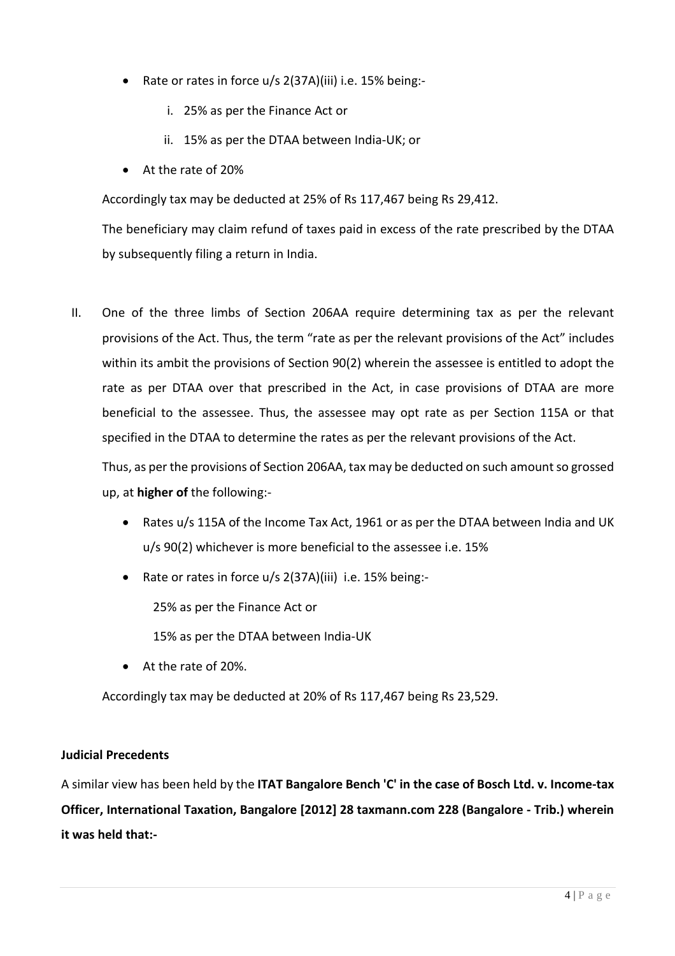- Rate or rates in force u/s 2(37A)(iii) i.e. 15% being:
	- i. 25% as per the Finance Act or
	- ii. 15% as per the DTAA between India-UK; or
- At the rate of 20%

Accordingly tax may be deducted at 25% of Rs 117,467 being Rs 29,412.

The beneficiary may claim refund of taxes paid in excess of the rate prescribed by the DTAA by subsequently filing a return in India.

II. One of the three limbs of Section 206AA require determining tax as per the relevant provisions of the Act. Thus, the term "rate as per the relevant provisions of the Act" includes within its ambit the provisions of Section 90(2) wherein the assessee is entitled to adopt the rate as per DTAA over that prescribed in the Act, in case provisions of DTAA are more beneficial to the assessee. Thus, the assessee may opt rate as per Section 115A or that specified in the DTAA to determine the rates as per the relevant provisions of the Act.

Thus, as per the provisions of Section 206AA, tax may be deducted on such amount so grossed up, at **higher of** the following:-

- Rates u/s 115A of the Income Tax Act, 1961 or as per the DTAA between India and UK u/s 90(2) whichever is more beneficial to the assessee i.e. 15%
- Rate or rates in force u/s 2(37A)(iii) i.e. 15% being:-

25% as per the Finance Act or

15% as per the DTAA between India-UK

At the rate of 20%.

Accordingly tax may be deducted at 20% of Rs 117,467 being Rs 23,529.

## **Judicial Precedents**

A similar view has been held by the **ITAT Bangalore Bench 'C' in the case of Bosch Ltd. v. Income-tax Officer, International Taxation, Bangalore [2012] 28 taxmann.com 228 (Bangalore - Trib.) wherein it was held that:-**